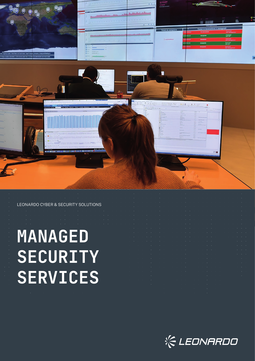

LEONARDO CYBER & SECURITY SOLUTIONS

# **MANAGED SECURITY SERVICES**



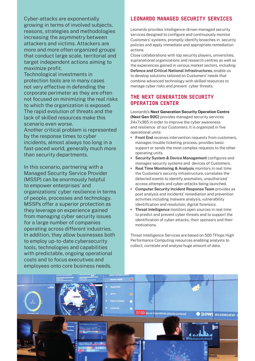Cyber-attacks are exponentially growing in terms of involved subjects, reasons, strategies and methodologies increasing the asymmetry between attackers and victims. Attackers are more and more often organized groups that conduct large scale, territorial and target independent actions aiming to maximize profit.

Technological investments in protection tools are in many cases not very effective in defending the corporate perimeter as they are often not focused on minimizing the real risks to which the organization is exposed. The rapid evolution of threats and the lack of skilled resources make this scenario even worse.

Another critical problem is represented by the response times to cyber incidents, almost always too long in a fast-paced world, generally much more than security departments.

In this scenario, partnering with a Managed Security Service Provider (MSSP) can be enormously helpful to empower enterprises' and organizations' cyber resilience in terms of people, processes and technology. MSSPs offer a superior protection as they leverage on experience gained from managing cyber security issues for a large number of companies operating across different industries. In addition, they allow businesses both to employ up-to-date cybersecurity tools, technologies and capabilities with predictable, ongoing operational costs and to focus executives and employees onto core business needs.

### LEONARDO MANAGED SECURITY SERVICES

Leonardo provides intelligence-driven managed security services designed to configure and continuously monitor Customers' systems, promptly identify breaches in security policies and apply immediate and appropriate remediation actions.

Close collaborations with top security players, universities, supranational organizations and research centres as well as the experiences gained in various market sectors, including **Defence and Critical National Infrastructures**, enable us to develop solutions tailored on Customers' needs that combine advanced technology with skilled resources to manage cyber risks and prevent cyber threats.

## THE NEXT GENERATION SECURITY OPERATION CENTER

Leonardo's **Next Generation Security Operation Centre (Next Gen SOC)** provides managed security services 24x7x365 in order to improve the cyber awareness and resilience of our Customers. It is organized in five operational units:

- **• Front End** receives intervention requests from customers, manages trouble ticketing process, provides basic support or sends the most complex requests to the other operating units.
- **• Security System & Device Management** configures and manages security systems and devices of Customers.
- **• Real Time Monitoring & Analysis** monitors in real time the Customer's security infrastructure, correlates the detected events to identify anomalies, unauthorized access attempts and cyber-attacks being launched.
- **• Computer Security Incident Response Team** provides ex post analysis and incidents' remediation and prevention activities including malware analysis, vulnerability identification and resolution, digital forensics.
- **• Threat Intelligence** monitors open sources in real time to predict and prevent cyber threats and to support the identification of cyber-attacks, their sponsors and their motivations.

Threat Intelligence Services are based on 500 TFlops High Performance Computing resources enabling analysts to collect, correlate and analyse huge amount of data.

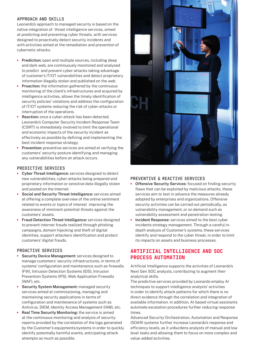#### **APPROACH AND SKILLS**

Leonardo's approach to managed security is based on the native integration of threat intelligence services, aimed at predicting and preventing cyber threats, with services designed to proactively detect security incidents and with activities aimed at the remediation and prevention of cybernetic attacks.

- **• Prediction:** open and multiple sources, including deep and dark web, are continuously monitored and analysed to predict and prevent cyber-attacks taking advantage of customer's IT/OT vulnerabilities and detect proprietary information illegally stolen and published on the web.
- **• Proaction:** the information gathered by the continuous monitoring of the client's infrastructures and acquired by intelligence activities, allows the timely identification of security policies' violations and address the configuration of IT/OT systems reducing the risk of cyber-attacks or interruption of the operations.
- **• Reaction:** once a cyber-attack has been detected, Leonardo's Computer Security Incident Response Team (CSIRT) is immediately involved to limit the operational and economic impacts of the security incident as effectively as possible by defining and implementing the best incident response strategy.
- **• Prevention:** preventive services are aimed at verifying the customers' security posture identifying and managing any vulnerabilities before an attack occurs.

#### **PREDICTIVE SERVICES**

- **• Cyber Threat Intelligence:** services designed to detect new vulnerabilities, cyber-attacks being prepared and proprietary information or sensitive data illegally stolen and posted on the Internet.
- **• Social and Security Threat Intelligence:** services aimed at offering a complete overview of the online sentiment related to events or topics of interest improving the awareness of imminent potential threats against the customers' assets.
- **• Fraud Detection Threat Intelligence:** services designed to prevent internet frauds realized through phishing campaigns, domain hijacking and theft of digital identities, support attackers identification and protect customers' digital frauds.

#### **PROACTIVE SERVICES**

- **• Security Device Management:** services designed to manage customers' security infrastructures, in terms of systems' configuration and maintenance such as firewalls (FW), Intrusion Detection Systems (IDS), Intrusion Prevention Systems (IPS), Web Application Firewalls (WAF), etc.
- **• Security System Management:** managed security services aimed at commissioning, managing and maintaining security applications in terms of configuration and maintenance of systems such as Antivirus, SIEM, Identity Access Management (IAM), etc.
- **• Real Time Security Monitoring:** the service is aimed at the continuous monitoring and analysis of security reports provided by the correlation of the logs generated by the Customer's equipments/systems in order to quickly identify potentially harmful events, anticipating attack attempts as much as possible.



#### **PREVENTIVE & REACTIVE SERVICES**

- **• Offensive Security Services:** focused on finding security flaws that can be exploited by malicious attacks, these services aim to test in advance the measures already adopted by enterprises and organizations. Offensive security activities can be carried out periodically, as vulnerability management, or on demand such as vulnerability assessment and penetration testing.
- **• Incident Response:** services aimed to the best cyber incidents strategy management. Through a careful indepth analysis of Customer's systems, these services identify and respond to the cyber threat, in order to limit its impacts on assets and business processes.

## ARTIFICIAL INTELLIGENCE AND SOC PROCESS AUTOMATION

Artificial Intelligence supports the activities of Leonardo's Next Gen SOC analysts, contributing to augment their analytical skills.

The predictive services provided by Leonardo employ AI techniques to support intelligence analysts' activities in order to identify attack patterns for which there is no direct evidence through the correlation and integration of available information. In addition, AI-based virtual assistants automate escalation procedures further reducing response times.

Advanced Security Orchestration, Automation and Response (SOAR) systems further increase Leonardo's response and efficiency levels, as it unburdens analysts of manual and low level tasks and allowing them to focus on more complex and value-added activities.